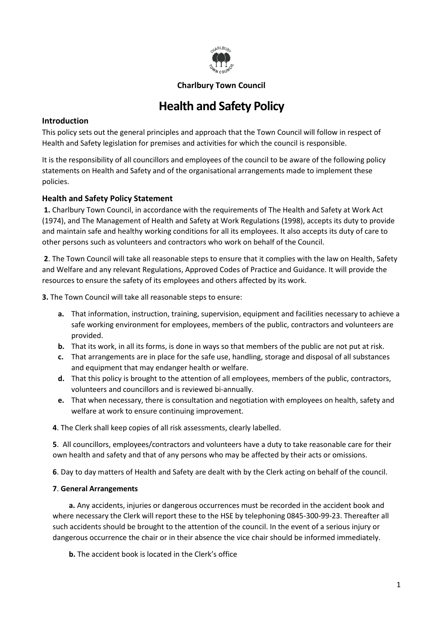

## **Charlbury Town Council**

# **Health and Safety Policy**

### **Introduction**

This policy sets out the general principles and approach that the Town Council will follow in respect of Health and Safety legislation for premises and activities for which the council is responsible.

It is the responsibility of all councillors and employees of the council to be aware of the following policy statements on Health and Safety and of the organisational arrangements made to implement these policies.

# **Health and Safety Policy Statement**

**1.** Charlbury Town Council, in accordance with the requirements of The Health and Safety at Work Act (1974), and The Management of Health and Safety at Work Regulations (1998), accepts its duty to provide and maintain safe and healthy working conditions for all its employees. It also accepts its duty of care to other persons such as volunteers and contractors who work on behalf of the Council.

**2**. The Town Council will take all reasonable steps to ensure that it complies with the law on Health, Safety and Welfare and any relevant Regulations, Approved Codes of Practice and Guidance. It will provide the resources to ensure the safety of its employees and others affected by its work.

**3.** The Town Council will take all reasonable steps to ensure:

- **a.** That information, instruction, training, supervision, equipment and facilities necessary to achieve a safe working environment for employees, members of the public, contractors and volunteers are provided.
- **b.** That its work, in all its forms, is done in ways so that members of the public are not put at risk.
- **c.** That arrangements are in place for the safe use, handling, storage and disposal of all substances and equipment that may endanger health or welfare.
- **d.** That this policy is brought to the attention of all employees, members of the public, contractors, volunteers and councillors and is reviewed bi-annually.
- **e.** That when necessary, there is consultation and negotiation with employees on health, safety and welfare at work to ensure continuing improvement.
- **4**. The Clerk shall keep copies of all risk assessments, clearly labelled.

**5**. All councillors, employees/contractors and volunteers have a duty to take reasonable care for their own health and safety and that of any persons who may be affected by their acts or omissions.

**6**. Day to day matters of Health and Safety are dealt with by the Clerk acting on behalf of the council.

# **7**. **General Arrangements**

**a.** Any accidents, injuries or dangerous occurrences must be recorded in the accident book and where necessary the Clerk will report these to the HSE by telephoning 0845-300-99-23. Thereafter all such accidents should be brought to the attention of the council. In the event of a serious injury or dangerous occurrence the chair or in their absence the vice chair should be informed immediately.

**b.** The accident book is located in the Clerk's office